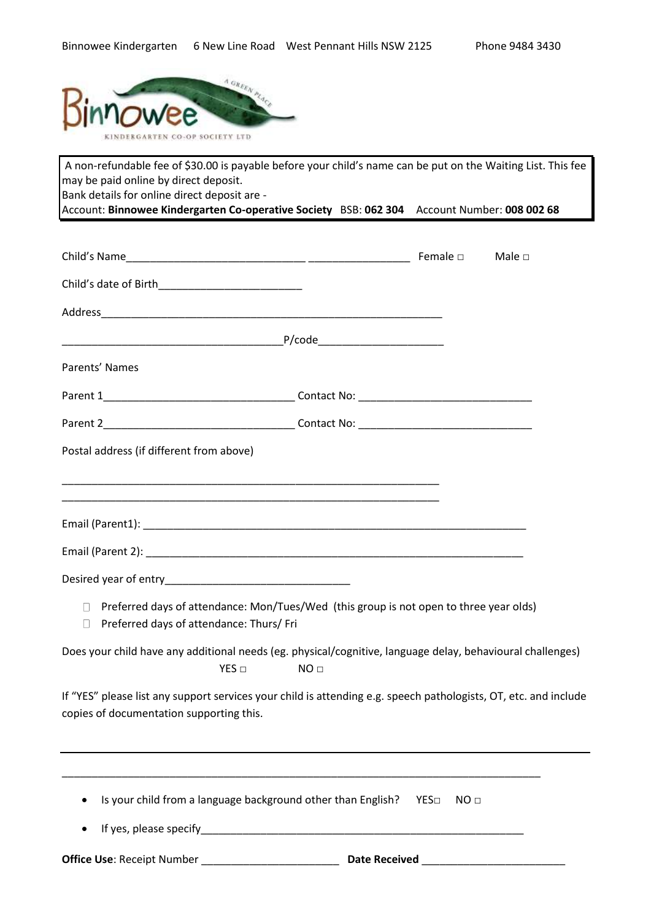

A non-refundable fee of \$30.00 is payable before your child's name can be put on the Waiting List. This fee may be paid online by direct deposit. Bank details for online direct deposit are -

Account: **Binnowee Kindergarten Co-operative Society** BSB: **062 304** Account Number: **008 002 68**

|                                                                                                                                                              |                                                                                                                      |                         | Male $\square$ |
|--------------------------------------------------------------------------------------------------------------------------------------------------------------|----------------------------------------------------------------------------------------------------------------------|-------------------------|----------------|
|                                                                                                                                                              |                                                                                                                      |                         |                |
|                                                                                                                                                              |                                                                                                                      |                         |                |
|                                                                                                                                                              |                                                                                                                      |                         |                |
| Parents' Names                                                                                                                                               |                                                                                                                      |                         |                |
|                                                                                                                                                              |                                                                                                                      |                         |                |
|                                                                                                                                                              |                                                                                                                      |                         |                |
| Postal address (if different from above)                                                                                                                     |                                                                                                                      |                         |                |
| <u> 1989 - Johann John Stoff, deutscher Stoff und der Stoff und der Stoff und der Stoff und der Stoff und der Stoff</u>                                      |                                                                                                                      |                         |                |
| <u> 1989 - Andrea Santa Alemania, amerikana amerikana amerikana amerikana amerikana amerikana amerikana amerikan</u>                                         |                                                                                                                      |                         |                |
|                                                                                                                                                              |                                                                                                                      |                         |                |
|                                                                                                                                                              |                                                                                                                      |                         |                |
|                                                                                                                                                              |                                                                                                                      |                         |                |
| □ Preferred days of attendance: Mon/Tues/Wed (this group is not open to three year olds)<br>Preferred days of attendance: Thurs/ Fri<br>П.                   |                                                                                                                      |                         |                |
| Does your child have any additional needs (eg. physical/cognitive, language delay, behavioural challenges)<br>$YES \Box$                                     | NO <sub>□</sub>                                                                                                      |                         |                |
| If "YES" please list any support services your child is attending e.g. speech pathologists, OT, etc. and include<br>copies of documentation supporting this. |                                                                                                                      |                         |                |
|                                                                                                                                                              |                                                                                                                      |                         |                |
| Is your child from a language background other than English?                                                                                                 |                                                                                                                      | YES□<br>NO <sub>□</sub> |                |
| If yes, please specify                                                                                                                                       | <u> 1980 - Jan James James Barnett, martin de la provincia de la provincia de la provincia de la provincia de la</u> |                         |                |
| <b>Office Use: Receipt Number</b>                                                                                                                            | <b>Date Received</b>                                                                                                 |                         |                |